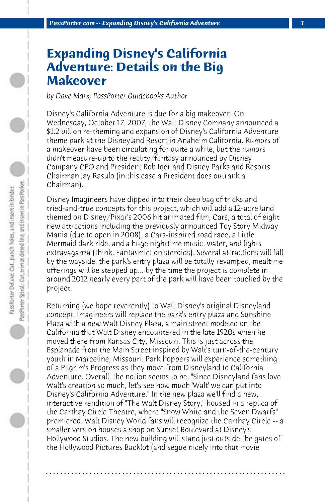## **Expanding Disney's California Adventure: Details on the Big Makeover**

*by Dave Marx, PassPorter Guidebooks Author*

Disney's California Adventure is due for a big makeover! On Wednesday, October 17, 2007, the Walt Disney Company announced a \$1.2 billion re-theming and expansion of Disney's California Adventure theme park at the Disneyland Resort in Anaheim California. Rumors of a makeover have been circulating for quite a while, but the rumors didn't measure-up to the reality/fantasy announced by Disney Company CEO and President Bob Iger and Disney Parks and Resorts Chairman Jay Rasulo (in this case a President does outrank a Chairman).

Disney Imagineers have dipped into their deep bag of tricks and tried-and-true concepts for this project, which will add a 12-acre land themed on Disney/Pixar's 2006 hit animated film, Cars, a total of eight new attractions including the previously announced Toy Story Midway Mania (due to open in 2008), a Cars-inspired road race, a Little Mermaid dark ride, and a huge nighttime music, water, and lights extravaganza (think: Fantasmic! on steroids). Several attractions will fall by the wayside, the park's entry plaza will be totally revamped, mealtime offerings will be stepped up... by the time the project is complete in around 2012 nearly every part of the park will have been touched by the project.

Returning (we hope reverently) to Walt Disney's original Disneyland concept, Imagineers will replace the park's entry plaza and Sunshine Plaza with a new Walt Disney Plaza, a main street modeled on the California that Walt Disney encountered in the late 1920s when he moved there from Kansas City, Missouri. This is just across the Esplanade from the Main Street inspired by Walt's turn-of-the-century youth in Marceline, Missouri. Park hoppers will experience something of a Pilgrim's Progress as they move from Disneyland to California Adventure. Overall, the notion seems to be, "Since Disneyland fans love Walt's creation so much, let's see how much 'Walt' we can put into Disney's California Adventure." In the new plaza we'll find a new, interactive rendition of "The Walt Disney Story," housed in a replica of the Carthay Circle Theatre, where "Snow White and the Seven Dwarfs" premiered. Walt Disney World fans will recognize the Carthay Circle -- a smaller version houses a shop on Sunset Boulevard at Disney's Hollywood Studios. The new building will stand just outside the gates of the Hollywood Pictures Backlot (and segue nicely into that movie

**. . . . . . . . . . . . . . . . . . . . . . . . . . . . . . . . . . . . . . . . . . . . . . . . . . . . . . . . . . . . . . . . . .**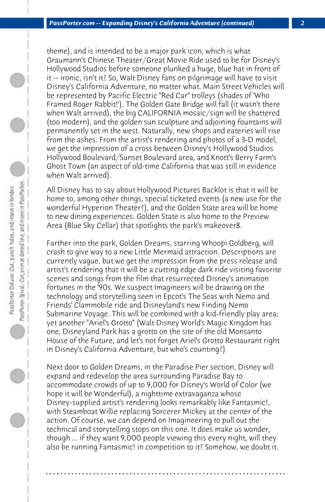theme), and is intended to be a major park icon, which is what Graumann's Chinese Theater/Great Movie Ride used to be for Disney's Hollywood Studios before someone plunked a huge, blue hat in front of it -- ironic, isn't it? So, Walt Disney fans on pilgrimage will have to visit Disney's California Adventure, no matter what. Main Street Vehicles will be represented by Pacific Electric "Red Car" trolleys (shades of 'Who Framed Roger Rabbit!'). The Golden Gate Bridge will fall (it wasn't there when Walt arrived), the big CALIFORNIA mosaic/sign will be shattered (too modern), and the golden sun sculpture and adjoining fountains will permanently set in the west. Naturally, new shops and eateries will rise from the ashes. From the artist's rendering and photos of a 3-D model, we get the impression of a cross between Disney's Hollywood Studios Hollywood Boulevard/Sunset Boulevard area, and Knott's Berry Farm's Ghost Town (an aspect of old-time California that was still in evidence when Walt arrived).

All Disney has to say about Hollywood Pictures Backlot is that it will be home to, among other things, special ticketed events (a new use for the wonderful Hyperion Theater?), and the Golden State area will be home to new dining experiences. Golden State is also home to the Preview Area (Blue Sky Cellar) that spotlights the park's makeover8.

Farther into the park, Golden Dreams, starring Whoopi Goldberg, will crash to give way to a new Little Mermaid attraction. Descriptions are currently vague, but we get the impression from the press release and artist's rendering that it will be a cutting edge dark ride visiting favorite scenes and songs from the film that resurrected Disney's animation fortunes in the '90s. We suspect Imagineers will be drawing on the technology and storytelling seen in Epcot's The Seas with Nemo and Friends' Clammobile ride and Disneyland's new Finding Nemo Submarine Voyage. This will be combined with a kid-friendly play area; yet another "Ariel's Grotto" (Walt Disney World's Magic Kingdom has one, Disneyland Park has a grotto on the site of the old Monsanto House of the Future, and let's not forget Ariel's Grotto Restaurant right in Disney's California Adventure, but who's counting?)

Next door to Golden Dreams, in the Paradise Pier section, Disney will expand and redevelop the area surrounding Paradise Bay to accommodate crowds of up to 9,000 for Disney's World of Color (we hope it will be Wonderful), a nighttime extravaganza whose Disney-supplied artist's rendering looks remarkably like Fantasmic!, with Steamboat Willie replacing Sorcerer Mickey at the center of the action. Of course, we can depend on Imagineering to pull out the technical and storytelling stops on this one. It does make us wonder, though ... if they want 9,000 people viewing this every night, will they also be running Fantasmic! in competition to it? Somehow, we doubt it.

**. . . . . . . . . . . . . . . . . . . . . . . . . . . . . . . . . . . . . . . . . . . . . . . . . . . . . . . . . . . . . . . . . .**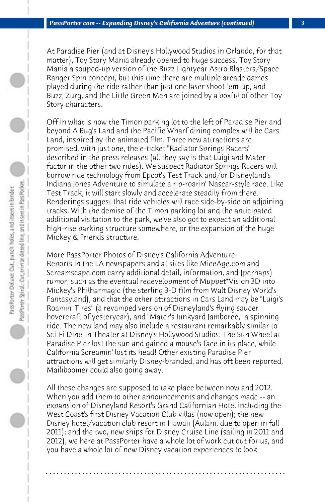At Paradise Pier (and at Disney's Hollywood Studios in Orlando, for that matter), Toy Story Mania already opened to huge success. Toy Story Mania a souped-up version of the Buzz Lightyear Astro Blasters/Space Ranger Spin concept, but this time there are multiple arcade games played during the ride rather than just one laser shoot-'em-up, and Buzz, Zurg, and the Little Green Men are joined by a boxful of other Toy Story characters.

Off in what is now the Timon parking lot to the left of Paradise Pier and beyond A Bug's Land and the Pacific Wharf dining complex will be Cars Land, inspired by the animated film. Three new attractions are promised, with just one, the e-ticket "Radiator Springs Racers" described in the press releases (all they say is that Luigi and Mater factor in the other two rides). We suspect Radiator Springs Racers will borrow ride technology from Epcot's Test Track and/or Disneyland's Indiana Jones Adventure to simulate a rip-roarin' Nascar-style race. Like Test Track, it will start slowly and accelerate steadily from there. Renderings suggest that ride vehicles will race side-by-side on adjoining tracks. With the demise of the Timon parking lot and the anticipated additional visitation to the park, we've also got to expect an additional high-rise parking structure somewhere, or the expansion of the huge Mickey & Friends structure.

More PassPorter Photos of Disney's California Adventure Reports in the LA newspapers and at sites like MiceAge.com and Screamscape.com carry additional detail, information, and (perhaps) rumor, such as the eventual redevelopment of Muppet\*Vision 3D into Mickey's Philharmagic (the sterling 3-D film from Walt Disney World's Fantasyland), and that the other attractions in Cars Land may be "Luigi's Roamin' Tires" (a revamped version of Disneyland's flying saucer hovercraft of yesteryear), and "Mater's Junkyard Jamboree," a spinning ride. The new land may also include a restaurant remarkably similar to Sci-Fi Dine-In Theater at Disney's Hollywood Studios. The Sun Wheel at Paradise Pier lost the sun and gained a mouse's face in its place, while California Screamin' lost its head! Other existing Paradise Pier attractions will get similarly Disney-branded, and has oft been reported, Mailiboomer could also going away.

All these changes are supposed to take place between now and 2012. When you add them to other announcements and changes made -- an expansion of Disneyland Resort's Grand Californian Hotel including the West Coast's first Disney Vacation Club villas (now open); the new Disney hotel/vacation club resort in Hawaii (Aulani, due to open in fall 2011); and the two, new ships for Disney Cruise Line (sailing in 2011 and 2012), we here at PassPorter have a whole lot of work cut out for us, and you have a whole lot of new Disney vacation experiences to look

**. . . . . . . . . . . . . . . . . . . . . . . . . . . . . . . . . . . . . . . . . . . . . . . . . . . . . . . . . . . . . . . . . .**